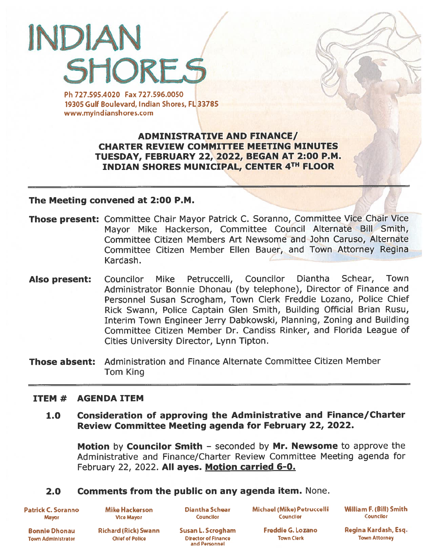# INDIAN **SHORES**

Ph 727.595.4020 Fax 727.596.0050 19305 Gulf Boulevard, Indian Shores, FL 33785 www.myindianshores.com

> **ADMINISTRATIVE AND FINANCE/** CHARTER REVIEW COMMITTEE MEETING MINUTES TUESDAY, FEBRUARY 22, 2022, BEGAN AT 2:00 P.M. INDIAN SHORES MUNICIPAL, CENTER 4TH FLOOR

#### The Meeting convened at 2:00 P.M.

- Those present: Committee Chair Mayor Patrick C. Soranno, Committee Vice Chair Vice Mayor Mike Hackerson, Committee Council Alternate Bill Smith, Committee Citizen Members Art Newsome and John Caruso, Alternate Committee Citizen Member Ellen Bauer, and Town Attorney Regina Kardash.
- Also present: Councilor Mike Petruccelli, Councilor Diantha Schear, Town Administrator Bonnie Dhonau (by telephone), Director of Finance and Personnel Susan Scrogham, Town Clerk Freddie Lozano, Police Chief Rick Swann, Police Captain Glen Smith, Building Official Brian Rusu, Interim Town Engineer Jerry Dabkowski, Planning, Zoning and Building Committee Citizen Member Dr. Candiss Rinker, and Florida League of Cities University Director, Lynn Tipton.
- Those absent: Administration and Finance Alternate Committee Citizen Member Tom King

#### ITEM # AGENDA ITEM

#### 1.0 Consideration of approving the Administrative and Finance/Charter Review Committee Meeting agenda for February 22, 2022.

Motion by Councilor Smith - seconded by Mr. Newsome to approve the Administrative and Finance/Charter Review Committee Meeting agenda for February 22, 2022. All ayes. Motion carried 6-0.

## 2.0 Comments from the public on any agenda item. None.

Patrick C. Soranno **Mayor** 

Mike Hackerson **Vice Mayor** 

Diantha Schear **Councilor** 

Michael (Mike) Petruccelli Councilor

William F. (Bill) Smith **Councilor** 

Ronnie Dhonau Town Administrator

Richard (Rick) Swann **Chief of Police** 

Susan L. Scrogham Director of Finance and ParonnoI

Freddie G. Lozano Town Clerk

Regina Kard ash, Esq. Town Attorney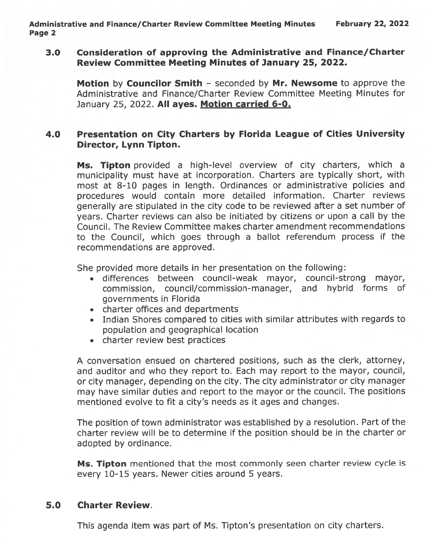#### 3.0 Consideration of approving the Administrative and Finance/Charter Review Committee Meeting Minutes of January 25, 2022.

Motion by Councilor Smith - seconded by Mr. Newsome to approve the Administrative and Finance/Charter Review Committee Meeting Minutes for January 25, 2022. All ayes. Motion carried 6-0.

# 4.0 Presentation on City Charters by Florida League of Cities University Director, Lynn Tipton.

Ms. Tipton provided a high-level overview of city charters, which a municipality must have at incorporation. Charters are typically short, with most at 8-10 pages in length. Ordinances or administrative policies and procedures would contain more detailed information. Charter reviews generally are stipulated in the city code to be reviewed after <sup>a</sup> set number of years. Charter reviews can also be initiated by citizens or upon <sup>a</sup> call by the Council. The Review Committee makes charter amendment recommendations to the Council, which goes through <sup>a</sup> ballot referendum process if the recommendations are approved.

She provided more details in her presentation on the following:

- differences between council-weak mayor, council-strong mayor, commission, council/commission-manager, and hybrid forms of governments in Florida
- charter offices and departments
- Indian Shores compared to cities with similar attributes with regards to population and geographical location
- charter review best practices

A conversation ensued on chartered positions, such as the clerk, attorney, and auditor and who they repor<sup>t</sup> to. Each may repor<sup>t</sup> to the mayor, council, or city manager, depending on the city. The city administrator or city manager may have similar duties and repor<sup>t</sup> to the mayor or the council. The positions mentioned evolve to fit <sup>a</sup> city's needs as it ages and changes.

The position of town administrator was established by <sup>a</sup> resolution. Part of the charter review will be to determine if the position should be in the charter or adopted by ordinance.

Ms. Tipton mentioned that the most commonly seen charter review cycle is every 10-15 years. Newer cities around 5 years.

## 5.0 Charter Review.

This agenda item was par<sup>t</sup> of Ms. Tipton's presentation on city charters.